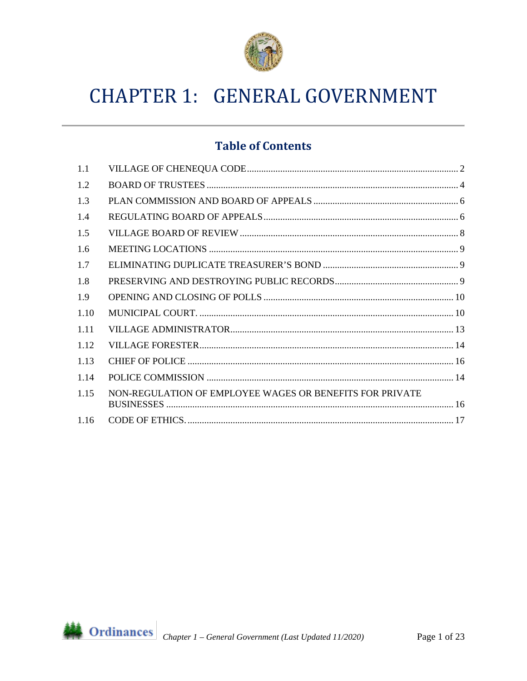

# **CHAPTER 1: GENERAL GOVERNMENT**

# **Table of Contents**

| 1.1  |                                                          |
|------|----------------------------------------------------------|
| 1.2  |                                                          |
| 1.3  |                                                          |
| 1.4  |                                                          |
| 1.5  |                                                          |
| 1.6  |                                                          |
| 1.7  |                                                          |
| 1.8  |                                                          |
| 1.9  |                                                          |
| 1.10 |                                                          |
| 1.11 |                                                          |
| 1.12 |                                                          |
| 1.13 |                                                          |
| 1.14 |                                                          |
| 1.15 | NON-REGULATION OF EMPLOYEE WAGES OR BENEFITS FOR PRIVATE |
| 1.16 |                                                          |

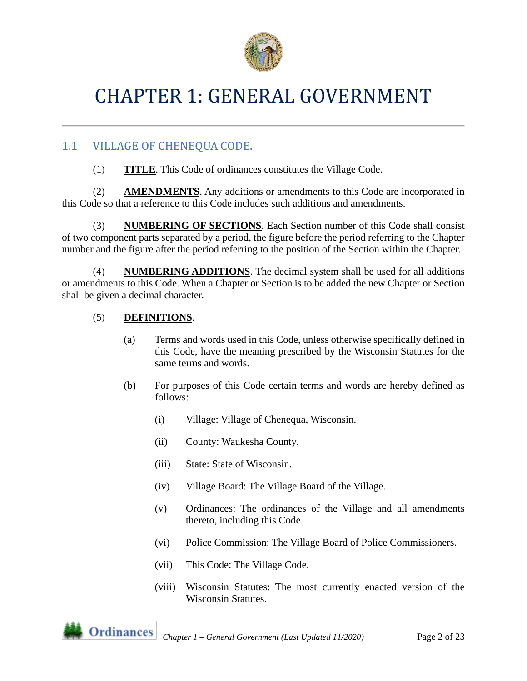

# CHAPTER 1: GENERAL GOVERNMENT

# <span id="page-1-0"></span>1.1 VILLAGE OF CHENEQUA CODE.

(1) **TITLE**. This Code of ordinances constitutes the Village Code.

(2) **AMENDMENTS**. Any additions or amendments to this Code are incorporated in this Code so that a reference to this Code includes such additions and amendments.

(3) **NUMBERING OF SECTIONS**. Each Section number of this Code shall consist of two component parts separated by a period, the figure before the period referring to the Chapter number and the figure after the period referring to the position of the Section within the Chapter.

(4) **NUMBERING ADDITIONS**. The decimal system shall be used for all additions or amendments to this Code. When a Chapter or Section is to be added the new Chapter or Section shall be given a decimal character.

## (5) **DEFINITIONS**.

- (a) Terms and words used in this Code, unless otherwise specifically defined in this Code, have the meaning prescribed by the Wisconsin Statutes for the same terms and words.
- (b) For purposes of this Code certain terms and words are hereby defined as follows:
	- (i) Village: Village of Chenequa, Wisconsin.
	- (ii) County: Waukesha County.
	- (iii) State: State of Wisconsin.
	- (iv) Village Board: The Village Board of the Village.
	- (v) Ordinances: The ordinances of the Village and all amendments thereto, including this Code.
	- (vi) Police Commission: The Village Board of Police Commissioners.
	- (vii) This Code: The Village Code.
	- (viii) Wisconsin Statutes: The most currently enacted version of the Wisconsin Statutes.

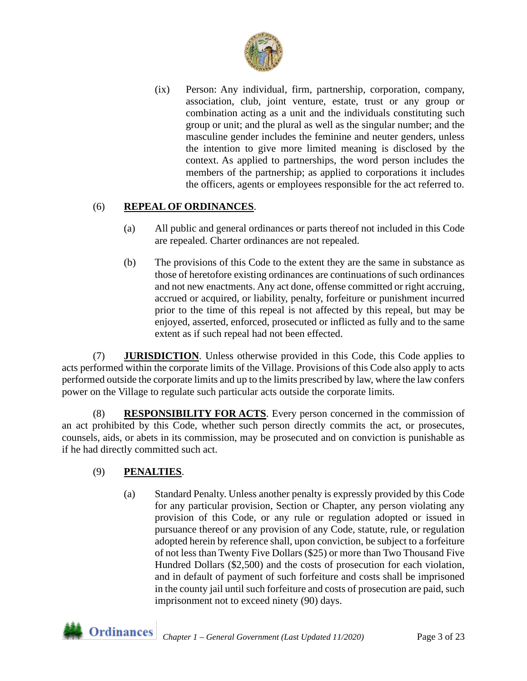

(ix) Person: Any individual, firm, partnership, corporation, company, association, club, joint venture, estate, trust or any group or combination acting as a unit and the individuals constituting such group or unit; and the plural as well as the singular number; and the masculine gender includes the feminine and neuter genders, unless the intention to give more limited meaning is disclosed by the context. As applied to partnerships, the word person includes the members of the partnership; as applied to corporations it includes the officers, agents or employees responsible for the act referred to.

## (6) **REPEAL OF ORDINANCES**.

- (a) All public and general ordinances or parts thereof not included in this Code are repealed. Charter ordinances are not repealed.
- (b) The provisions of this Code to the extent they are the same in substance as those of heretofore existing ordinances are continuations of such ordinances and not new enactments. Any act done, offense committed or right accruing, accrued or acquired, or liability, penalty, forfeiture or punishment incurred prior to the time of this repeal is not affected by this repeal, but may be enjoyed, asserted, enforced, prosecuted or inflicted as fully and to the same extent as if such repeal had not been effected.

(7) **JURISDICTION**. Unless otherwise provided in this Code, this Code applies to acts performed within the corporate limits of the Village. Provisions of this Code also apply to acts performed outside the corporate limits and up to the limits prescribed by law, where the law confers power on the Village to regulate such particular acts outside the corporate limits.

(8) **RESPONSIBILITY FOR ACTS**. Every person concerned in the commission of an act prohibited by this Code, whether such person directly commits the act, or prosecutes, counsels, aids, or abets in its commission, may be prosecuted and on conviction is punishable as if he had directly committed such act.

### (9) **PENALTIES**.

(a) Standard Penalty. Unless another penalty is expressly provided by this Code for any particular provision, Section or Chapter, any person violating any provision of this Code, or any rule or regulation adopted or issued in pursuance thereof or any provision of any Code, statute, rule, or regulation adopted herein by reference shall, upon conviction, be subject to a forfeiture of not less than Twenty Five Dollars (\$25) or more than Two Thousand Five Hundred Dollars (\$2,500) and the costs of prosecution for each violation, and in default of payment of such forfeiture and costs shall be imprisoned in the county jail until such forfeiture and costs of prosecution are paid, such imprisonment not to exceed ninety (90) days.

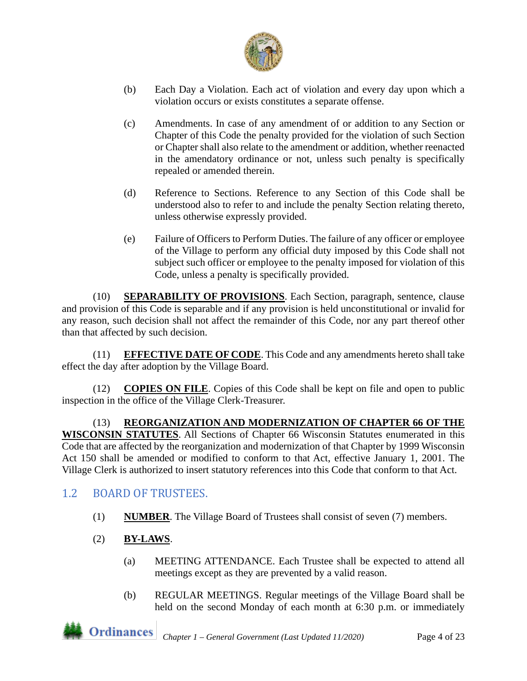

- (b) Each Day a Violation. Each act of violation and every day upon which a violation occurs or exists constitutes a separate offense.
- (c) Amendments. In case of any amendment of or addition to any Section or Chapter of this Code the penalty provided for the violation of such Section or Chapter shall also relate to the amendment or addition, whether reenacted in the amendatory ordinance or not, unless such penalty is specifically repealed or amended therein.
- (d) Reference to Sections. Reference to any Section of this Code shall be understood also to refer to and include the penalty Section relating thereto, unless otherwise expressly provided.
- (e) Failure of Officers to Perform Duties. The failure of any officer or employee of the Village to perform any official duty imposed by this Code shall not subject such officer or employee to the penalty imposed for violation of this Code, unless a penalty is specifically provided.

(10) **SEPARABILITY OF PROVISIONS**. Each Section, paragraph, sentence, clause and provision of this Code is separable and if any provision is held unconstitutional or invalid for any reason, such decision shall not affect the remainder of this Code, nor any part thereof other than that affected by such decision.

(11) **EFFECTIVE DATE OF CODE**. This Code and any amendments hereto shall take effect the day after adoption by the Village Board.

(12) **COPIES ON FILE**. Copies of this Code shall be kept on file and open to public inspection in the office of the Village Clerk-Treasurer.

(13) **REORGANIZATION AND MODERNIZATION OF CHAPTER 66 OF THE WISCONSIN STATUTES**. All Sections of Chapter 66 Wisconsin Statutes enumerated in this Code that are affected by the reorganization and modernization of that Chapter by 1999 Wisconsin Act 150 shall be amended or modified to conform to that Act, effective January 1, 2001. The Village Clerk is authorized to insert statutory references into this Code that conform to that Act.

# <span id="page-3-0"></span>1.2 BOARD OF TRUSTEES.

- (1) **NUMBER**. The Village Board of Trustees shall consist of seven (7) members.
- (2) **BY-LAWS**.
	- (a) MEETING ATTENDANCE. Each Trustee shall be expected to attend all meetings except as they are prevented by a valid reason.
	- (b) REGULAR MEETINGS. Regular meetings of the Village Board shall be held on the second Monday of each month at 6:30 p.m. or immediately

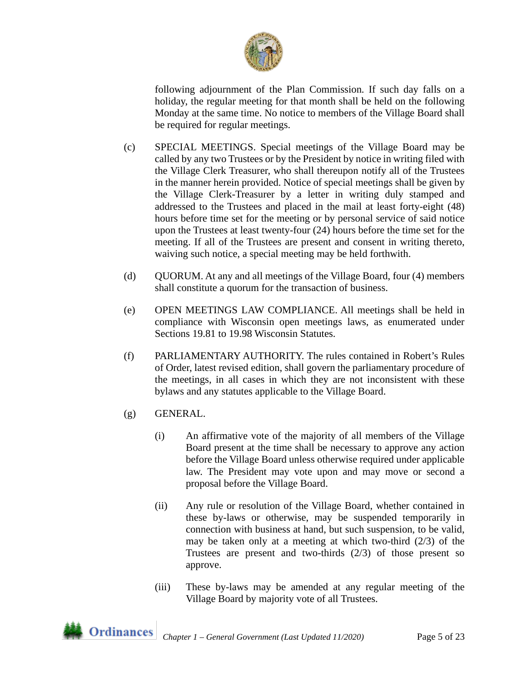

following adjournment of the Plan Commission. If such day falls on a holiday, the regular meeting for that month shall be held on the following Monday at the same time. No notice to members of the Village Board shall be required for regular meetings.

- (c) SPECIAL MEETINGS. Special meetings of the Village Board may be called by any two Trustees or by the President by notice in writing filed with the Village Clerk Treasurer, who shall thereupon notify all of the Trustees in the manner herein provided. Notice of special meetings shall be given by the Village Clerk-Treasurer by a letter in writing duly stamped and addressed to the Trustees and placed in the mail at least forty-eight (48) hours before time set for the meeting or by personal service of said notice upon the Trustees at least twenty-four (24) hours before the time set for the meeting. If all of the Trustees are present and consent in writing thereto, waiving such notice, a special meeting may be held forthwith.
- (d) QUORUM. At any and all meetings of the Village Board, four (4) members shall constitute a quorum for the transaction of business.
- (e) OPEN MEETINGS LAW COMPLIANCE. All meetings shall be held in compliance with Wisconsin open meetings laws, as enumerated under Sections 19.81 to 19.98 Wisconsin Statutes.
- (f) PARLIAMENTARY AUTHORITY. The rules contained in Robert's Rules of Order, latest revised edition, shall govern the parliamentary procedure of the meetings, in all cases in which they are not inconsistent with these bylaws and any statutes applicable to the Village Board.
- (g) GENERAL.
	- (i) An affirmative vote of the majority of all members of the Village Board present at the time shall be necessary to approve any action before the Village Board unless otherwise required under applicable law. The President may vote upon and may move or second a proposal before the Village Board.
	- (ii) Any rule or resolution of the Village Board, whether contained in these by-laws or otherwise, may be suspended temporarily in connection with business at hand, but such suspension, to be valid, may be taken only at a meeting at which two-third  $(2/3)$  of the Trustees are present and two-thirds (2/3) of those present so approve.
	- (iii) These by-laws may be amended at any regular meeting of the Village Board by majority vote of all Trustees.

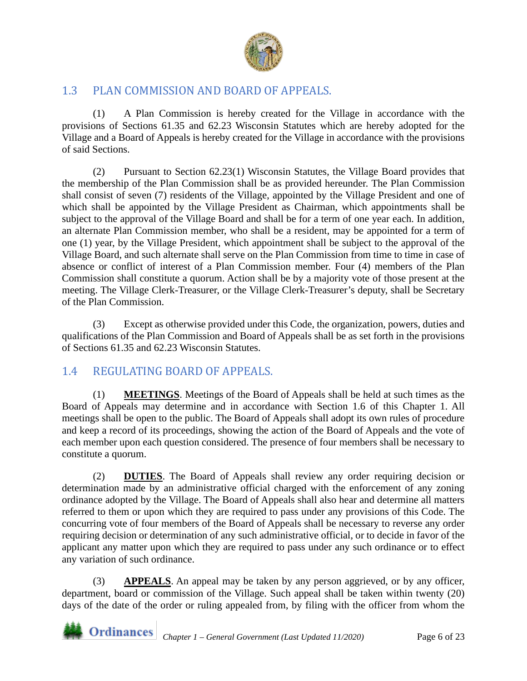

# 1.3 PLAN COMMISSION AND BOARD OF APPEALS.

(1) A Plan Commission is hereby created for the Village in accordance with the provisions of Sections 61.35 and 62.23 Wisconsin Statutes which are hereby adopted for the Village and a Board of Appeals is hereby created for the Village in accordance with the provisions of said Sections.

(2) Pursuant to Section 62.23(1) Wisconsin Statutes, the Village Board provides that the membership of the Plan Commission shall be as provided hereunder. The Plan Commission shall consist of seven (7) residents of the Village, appointed by the Village President and one of which shall be appointed by the Village President as Chairman, which appointments shall be subject to the approval of the Village Board and shall be for a term of one year each. In addition, an alternate Plan Commission member, who shall be a resident, may be appointed for a term of one (1) year, by the Village President, which appointment shall be subject to the approval of the Village Board, and such alternate shall serve on the Plan Commission from time to time in case of absence or conflict of interest of a Plan Commission member. Four (4) members of the Plan Commission shall constitute a quorum. Action shall be by a majority vote of those present at the meeting. The Village Clerk-Treasurer, or the Village Clerk-Treasurer's deputy, shall be Secretary of the Plan Commission.

(3) Except as otherwise provided under this Code, the organization, powers, duties and qualifications of the Plan Commission and Board of Appeals shall be as set forth in the provisions of Sections 61.35 and 62.23 Wisconsin Statutes.

# <span id="page-5-0"></span>1.4 REGULATING BOARD OF APPEALS.

(1) **MEETINGS**. Meetings of the Board of Appeals shall be held at such times as the Board of Appeals may determine and in accordance with Section 1.6 of this Chapter 1. All meetings shall be open to the public. The Board of Appeals shall adopt its own rules of procedure and keep a record of its proceedings, showing the action of the Board of Appeals and the vote of each member upon each question considered. The presence of four members shall be necessary to constitute a quorum.

(2) **DUTIES**. The Board of Appeals shall review any order requiring decision or determination made by an administrative official charged with the enforcement of any zoning ordinance adopted by the Village. The Board of Appeals shall also hear and determine all matters referred to them or upon which they are required to pass under any provisions of this Code. The concurring vote of four members of the Board of Appeals shall be necessary to reverse any order requiring decision or determination of any such administrative official, or to decide in favor of the applicant any matter upon which they are required to pass under any such ordinance or to effect any variation of such ordinance.

(3) **APPEALS**. An appeal may be taken by any person aggrieved, or by any officer, department, board or commission of the Village. Such appeal shall be taken within twenty (20) days of the date of the order or ruling appealed from, by filing with the officer from whom the

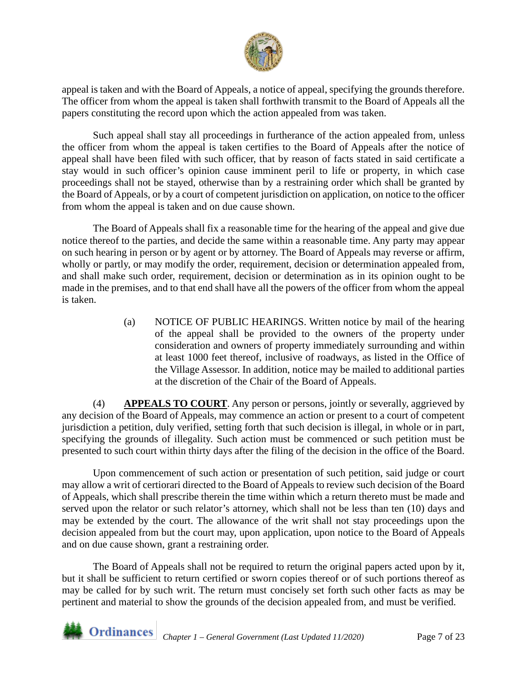

appeal is taken and with the Board of Appeals, a notice of appeal, specifying the grounds therefore. The officer from whom the appeal is taken shall forthwith transmit to the Board of Appeals all the papers constituting the record upon which the action appealed from was taken.

Such appeal shall stay all proceedings in furtherance of the action appealed from, unless the officer from whom the appeal is taken certifies to the Board of Appeals after the notice of appeal shall have been filed with such officer, that by reason of facts stated in said certificate a stay would in such officer's opinion cause imminent peril to life or property, in which case proceedings shall not be stayed, otherwise than by a restraining order which shall be granted by the Board of Appeals, or by a court of competent jurisdiction on application, on notice to the officer from whom the appeal is taken and on due cause shown.

The Board of Appeals shall fix a reasonable time for the hearing of the appeal and give due notice thereof to the parties, and decide the same within a reasonable time. Any party may appear on such hearing in person or by agent or by attorney. The Board of Appeals may reverse or affirm, wholly or partly, or may modify the order, requirement, decision or determination appealed from, and shall make such order, requirement, decision or determination as in its opinion ought to be made in the premises, and to that end shall have all the powers of the officer from whom the appeal is taken.

> (a) NOTICE OF PUBLIC HEARINGS. Written notice by mail of the hearing of the appeal shall be provided to the owners of the property under consideration and owners of property immediately surrounding and within at least 1000 feet thereof, inclusive of roadways, as listed in the Office of the Village Assessor. In addition, notice may be mailed to additional parties at the discretion of the Chair of the Board of Appeals.

(4) **APPEALS TO COURT**. Any person or persons, jointly or severally, aggrieved by any decision of the Board of Appeals, may commence an action or present to a court of competent jurisdiction a petition, duly verified, setting forth that such decision is illegal, in whole or in part, specifying the grounds of illegality. Such action must be commenced or such petition must be presented to such court within thirty days after the filing of the decision in the office of the Board.

Upon commencement of such action or presentation of such petition, said judge or court may allow a writ of certiorari directed to the Board of Appeals to review such decision of the Board of Appeals, which shall prescribe therein the time within which a return thereto must be made and served upon the relator or such relator's attorney, which shall not be less than ten (10) days and may be extended by the court. The allowance of the writ shall not stay proceedings upon the decision appealed from but the court may, upon application, upon notice to the Board of Appeals and on due cause shown, grant a restraining order.

The Board of Appeals shall not be required to return the original papers acted upon by it, but it shall be sufficient to return certified or sworn copies thereof or of such portions thereof as may be called for by such writ. The return must concisely set forth such other facts as may be pertinent and material to show the grounds of the decision appealed from, and must be verified.

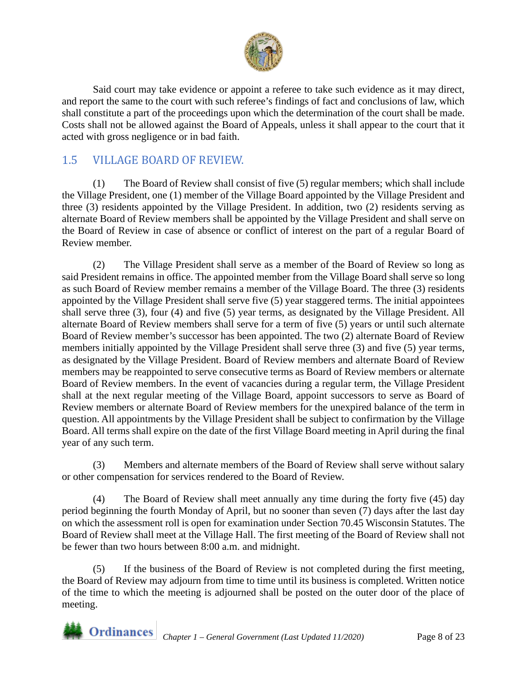

Said court may take evidence or appoint a referee to take such evidence as it may direct, and report the same to the court with such referee's findings of fact and conclusions of law, which shall constitute a part of the proceedings upon which the determination of the court shall be made. Costs shall not be allowed against the Board of Appeals, unless it shall appear to the court that it acted with gross negligence or in bad faith.

# <span id="page-7-0"></span>1.5 VILLAGE BOARD OF REVIEW.

(1) The Board of Review shall consist of five (5) regular members; which shall include the Village President, one (1) member of the Village Board appointed by the Village President and three (3) residents appointed by the Village President. In addition, two (2) residents serving as alternate Board of Review members shall be appointed by the Village President and shall serve on the Board of Review in case of absence or conflict of interest on the part of a regular Board of Review member.

(2) The Village President shall serve as a member of the Board of Review so long as said President remains in office. The appointed member from the Village Board shall serve so long as such Board of Review member remains a member of the Village Board. The three (3) residents appointed by the Village President shall serve five (5) year staggered terms. The initial appointees shall serve three (3), four (4) and five (5) year terms, as designated by the Village President. All alternate Board of Review members shall serve for a term of five (5) years or until such alternate Board of Review member's successor has been appointed. The two (2) alternate Board of Review members initially appointed by the Village President shall serve three (3) and five (5) year terms, as designated by the Village President. Board of Review members and alternate Board of Review members may be reappointed to serve consecutive terms as Board of Review members or alternate Board of Review members. In the event of vacancies during a regular term, the Village President shall at the next regular meeting of the Village Board, appoint successors to serve as Board of Review members or alternate Board of Review members for the unexpired balance of the term in question. All appointments by the Village President shall be subject to confirmation by the Village Board. All terms shall expire on the date of the first Village Board meeting in April during the final year of any such term.

(3) Members and alternate members of the Board of Review shall serve without salary or other compensation for services rendered to the Board of Review.

(4) The Board of Review shall meet annually any time during the forty five (45) day period beginning the fourth Monday of April, but no sooner than seven (7) days after the last day on which the assessment roll is open for examination under Section 70.45 Wisconsin Statutes. The Board of Review shall meet at the Village Hall. The first meeting of the Board of Review shall not be fewer than two hours between 8:00 a.m. and midnight.

(5) If the business of the Board of Review is not completed during the first meeting, the Board of Review may adjourn from time to time until its business is completed. Written notice of the time to which the meeting is adjourned shall be posted on the outer door of the place of meeting.

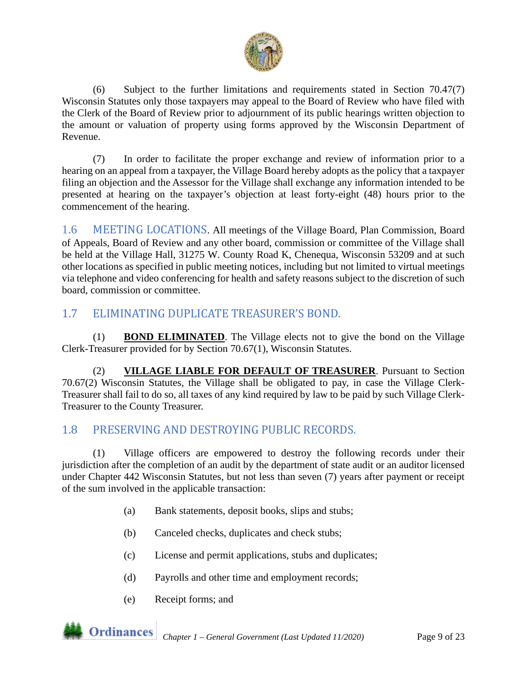

(6) Subject to the further limitations and requirements stated in Section 70.47(7) Wisconsin Statutes only those taxpayers may appeal to the Board of Review who have filed with the Clerk of the Board of Review prior to adjournment of its public hearings written objection to the amount or valuation of property using forms approved by the Wisconsin Department of Revenue.

(7) In order to facilitate the proper exchange and review of information prior to a hearing on an appeal from a taxpayer, the Village Board hereby adopts as the policy that a taxpayer filing an objection and the Assessor for the Village shall exchange any information intended to be presented at hearing on the taxpayer's objection at least forty-eight (48) hours prior to the commencement of the hearing.

1.6 MEETING LOCATIONS. All meetings of the Village Board, Plan Commission, Board of Appeals, Board of Review and any other board, commission or committee of the Village shall be held at the Village Hall, 31275 W. County Road K, Chenequa, Wisconsin 53209 and at such other locations as specified in public meeting notices, including but not limited to virtual meetings via telephone and video conferencing for health and safety reasons subject to the discretion of such board, commission or committee.

# 1.7 ELIMINATING DUPLICATE TREASURER'S BOND.

(1) **BOND ELIMINATED**. The Village elects not to give the bond on the Village Clerk-Treasurer provided for by Section 70.67(1), Wisconsin Statutes.

(2) **VILLAGE LIABLE FOR DEFAULT OF TREASURER**. Pursuant to Section 70.67(2) Wisconsin Statutes, the Village shall be obligated to pay, in case the Village Clerk-Treasurer shall fail to do so, all taxes of any kind required by law to be paid by such Village Clerk-Treasurer to the County Treasurer.

# <span id="page-8-0"></span>1.8 PRESERVING AND DESTROYING PUBLIC RECORDS.

(1) Village officers are empowered to destroy the following records under their jurisdiction after the completion of an audit by the department of state audit or an auditor licensed under Chapter 442 Wisconsin Statutes, but not less than seven (7) years after payment or receipt of the sum involved in the applicable transaction:

- (a) Bank statements, deposit books, slips and stubs;
- (b) Canceled checks, duplicates and check stubs;
- (c) License and permit applications, stubs and duplicates;
- (d) Payrolls and other time and employment records;
- (e) Receipt forms; and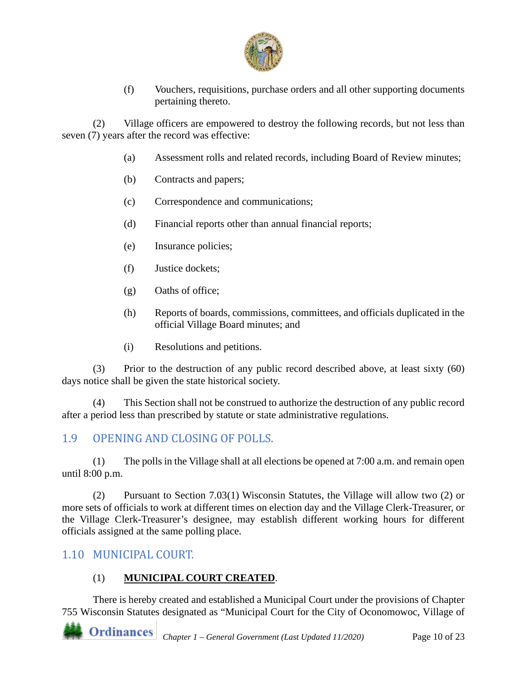

(f) Vouchers, requisitions, purchase orders and all other supporting documents pertaining thereto.

(2) Village officers are empowered to destroy the following records, but not less than seven (7) years after the record was effective:

- (a) Assessment rolls and related records, including Board of Review minutes;
- (b) Contracts and papers;
- (c) Correspondence and communications;
- (d) Financial reports other than annual financial reports;
- (e) Insurance policies;
- (f) Justice dockets;
- (g) Oaths of office;
- (h) Reports of boards, commissions, committees, and officials duplicated in the official Village Board minutes; and
- (i) Resolutions and petitions.

(3) Prior to the destruction of any public record described above, at least sixty (60) days notice shall be given the state historical society.

(4) This Section shall not be construed to authorize the destruction of any public record after a period less than prescribed by statute or state administrative regulations.

# <span id="page-9-0"></span>1.9 OPENING AND CLOSING OF POLLS.

(1) The polls in the Village shall at all elections be opened at 7:00 a.m. and remain open until 8:00 p.m.

(2) Pursuant to Section 7.03(1) Wisconsin Statutes, the Village will allow two (2) or more sets of officials to work at different times on election day and the Village Clerk-Treasurer, or the Village Clerk-Treasurer's designee, may establish different working hours for different officials assigned at the same polling place.

## <span id="page-9-1"></span>1.10 MUNICIPAL COURT.

## (1) **MUNICIPAL COURT CREATED**.

There is hereby created and established a Municipal Court under the provisions of Chapter 755 Wisconsin Statutes designated as "Municipal Court for the City of Oconomowoc, Village of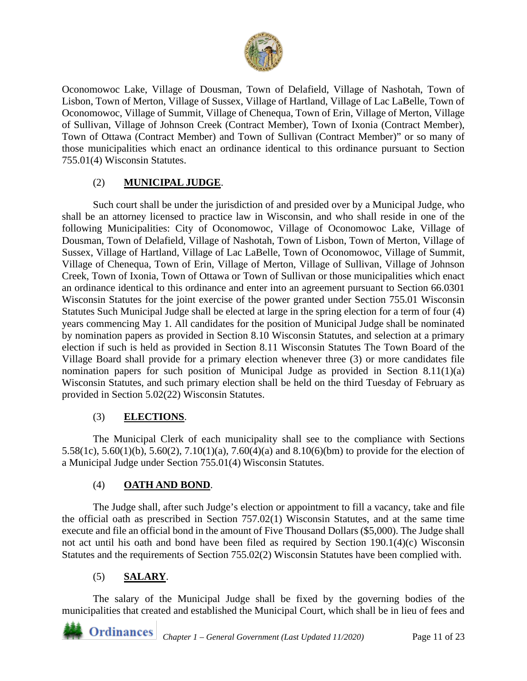

Oconomowoc Lake, Village of Dousman, Town of Delafield, Village of Nashotah, Town of Lisbon, Town of Merton, Village of Sussex, Village of Hartland, Village of Lac LaBelle, Town of Oconomowoc, Village of Summit, Village of Chenequa, Town of Erin, Village of Merton, Village of Sullivan, Village of Johnson Creek (Contract Member), Town of Ixonia (Contract Member), Town of Ottawa (Contract Member) and Town of Sullivan (Contract Member)" or so many of those municipalities which enact an ordinance identical to this ordinance pursuant to Section 755.01(4) Wisconsin Statutes.

## (2) **MUNICIPAL JUDGE**.

Such court shall be under the jurisdiction of and presided over by a Municipal Judge, who shall be an attorney licensed to practice law in Wisconsin, and who shall reside in one of the following Municipalities: City of Oconomowoc, Village of Oconomowoc Lake, Village of Dousman, Town of Delafield, Village of Nashotah, Town of Lisbon, Town of Merton, Village of Sussex, Village of Hartland, Village of Lac LaBelle, Town of Oconomowoc, Village of Summit, Village of Chenequa, Town of Erin, Village of Merton, Village of Sullivan, Village of Johnson Creek, Town of Ixonia, Town of Ottawa or Town of Sullivan or those municipalities which enact an ordinance identical to this ordinance and enter into an agreement pursuant to Section 66.0301 Wisconsin Statutes for the joint exercise of the power granted under Section 755.01 Wisconsin Statutes Such Municipal Judge shall be elected at large in the spring election for a term of four (4) years commencing May 1. All candidates for the position of Municipal Judge shall be nominated by nomination papers as provided in Section 8.10 Wisconsin Statutes, and selection at a primary election if such is held as provided in Section 8.11 Wisconsin Statutes The Town Board of the Village Board shall provide for a primary election whenever three (3) or more candidates file nomination papers for such position of Municipal Judge as provided in Section 8.11(1)(a) Wisconsin Statutes, and such primary election shall be held on the third Tuesday of February as provided in Section 5.02(22) Wisconsin Statutes.

## (3) **ELECTIONS**.

The Municipal Clerk of each municipality shall see to the compliance with Sections 5.58(1c), 5.60(1)(b), 5.60(2), 7.10(1)(a), 7.60(4)(a) and 8.10(6)(bm) to provide for the election of a Municipal Judge under Section 755.01(4) Wisconsin Statutes.

### (4) **OATH AND BOND**.

The Judge shall, after such Judge's election or appointment to fill a vacancy, take and file the official oath as prescribed in Section 757.02(1) Wisconsin Statutes, and at the same time execute and file an official bond in the amount of Five Thousand Dollars (\$5,000). The Judge shall not act until his oath and bond have been filed as required by Section 190.1(4)(c) Wisconsin Statutes and the requirements of Section 755.02(2) Wisconsin Statutes have been complied with.

## (5) **SALARY**.

The salary of the Municipal Judge shall be fixed by the governing bodies of the municipalities that created and established the Municipal Court, which shall be in lieu of fees and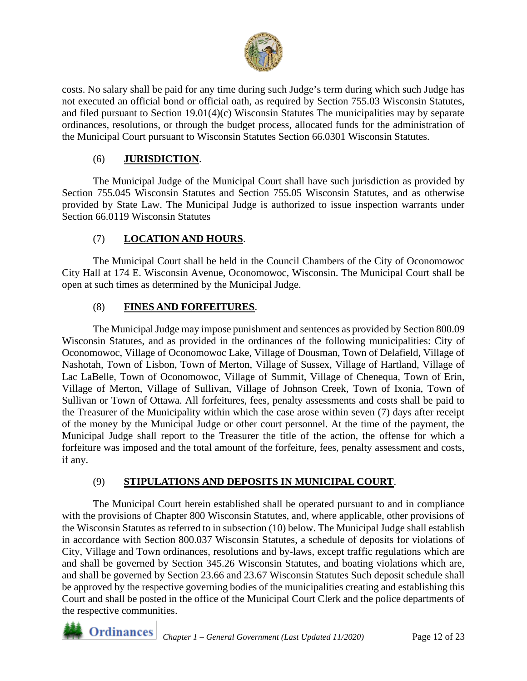

costs. No salary shall be paid for any time during such Judge's term during which such Judge has not executed an official bond or official oath, as required by Section 755.03 Wisconsin Statutes, and filed pursuant to Section 19.01(4)(c) Wisconsin Statutes The municipalities may by separate ordinances, resolutions, or through the budget process, allocated funds for the administration of the Municipal Court pursuant to Wisconsin Statutes Section 66.0301 Wisconsin Statutes.

## (6) **JURISDICTION**.

The Municipal Judge of the Municipal Court shall have such jurisdiction as provided by Section 755.045 Wisconsin Statutes and Section 755.05 Wisconsin Statutes, and as otherwise provided by State Law. The Municipal Judge is authorized to issue inspection warrants under Section 66.0119 Wisconsin Statutes

## (7) **LOCATION AND HOURS**.

The Municipal Court shall be held in the Council Chambers of the City of Oconomowoc City Hall at 174 E. Wisconsin Avenue, Oconomowoc, Wisconsin. The Municipal Court shall be open at such times as determined by the Municipal Judge.

# (8) **FINES AND FORFEITURES**.

The Municipal Judge may impose punishment and sentences as provided by Section 800.09 Wisconsin Statutes, and as provided in the ordinances of the following municipalities: City of Oconomowoc, Village of Oconomowoc Lake, Village of Dousman, Town of Delafield, Village of Nashotah, Town of Lisbon, Town of Merton, Village of Sussex, Village of Hartland, Village of Lac LaBelle, Town of Oconomowoc, Village of Summit, Village of Chenequa, Town of Erin, Village of Merton, Village of Sullivan, Village of Johnson Creek, Town of Ixonia, Town of Sullivan or Town of Ottawa. All forfeitures, fees, penalty assessments and costs shall be paid to the Treasurer of the Municipality within which the case arose within seven (7) days after receipt of the money by the Municipal Judge or other court personnel. At the time of the payment, the Municipal Judge shall report to the Treasurer the title of the action, the offense for which a forfeiture was imposed and the total amount of the forfeiture, fees, penalty assessment and costs, if any.

## (9) **STIPULATIONS AND DEPOSITS IN MUNICIPAL COURT**.

The Municipal Court herein established shall be operated pursuant to and in compliance with the provisions of Chapter 800 Wisconsin Statutes, and, where applicable, other provisions of the Wisconsin Statutes as referred to in subsection (10) below. The Municipal Judge shall establish in accordance with Section 800.037 Wisconsin Statutes, a schedule of deposits for violations of City, Village and Town ordinances, resolutions and by-laws, except traffic regulations which are and shall be governed by Section 345.26 Wisconsin Statutes, and boating violations which are, and shall be governed by Section 23.66 and 23.67 Wisconsin Statutes Such deposit schedule shall be approved by the respective governing bodies of the municipalities creating and establishing this Court and shall be posted in the office of the Municipal Court Clerk and the police departments of the respective communities.

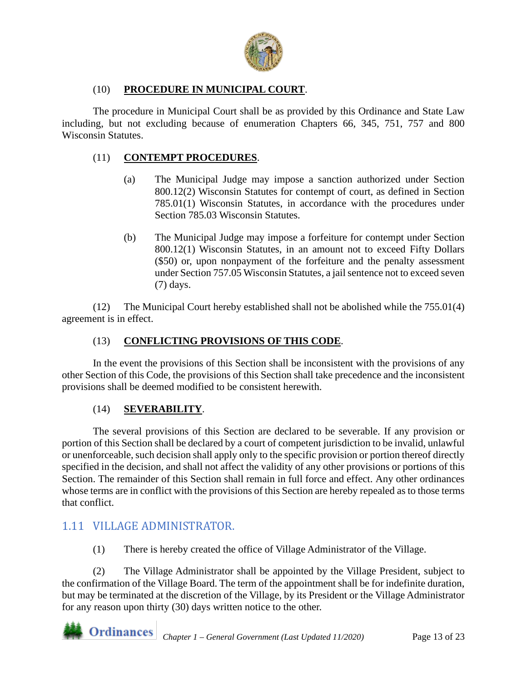

## (10) **PROCEDURE IN MUNICIPAL COURT**.

The procedure in Municipal Court shall be as provided by this Ordinance and State Law including, but not excluding because of enumeration Chapters 66, 345, 751, 757 and 800 Wisconsin Statutes.

#### (11) **CONTEMPT PROCEDURES**.

- (a) The Municipal Judge may impose a sanction authorized under Section 800.12(2) Wisconsin Statutes for contempt of court, as defined in Section 785.01(1) Wisconsin Statutes, in accordance with the procedures under Section 785.03 Wisconsin Statutes.
- (b) The Municipal Judge may impose a forfeiture for contempt under Section 800.12(1) Wisconsin Statutes, in an amount not to exceed Fifty Dollars (\$50) or, upon nonpayment of the forfeiture and the penalty assessment under Section 757.05 Wisconsin Statutes, a jail sentence not to exceed seven (7) days.

(12) The Municipal Court hereby established shall not be abolished while the 755.01(4) agreement is in effect.

### (13) **CONFLICTING PROVISIONS OF THIS CODE**.

In the event the provisions of this Section shall be inconsistent with the provisions of any other Section of this Code, the provisions of this Section shall take precedence and the inconsistent provisions shall be deemed modified to be consistent herewith.

### (14) **SEVERABILITY**.

The several provisions of this Section are declared to be severable. If any provision or portion of this Section shall be declared by a court of competent jurisdiction to be invalid, unlawful or unenforceable, such decision shall apply only to the specific provision or portion thereof directly specified in the decision, and shall not affect the validity of any other provisions or portions of this Section. The remainder of this Section shall remain in full force and effect. Any other ordinances whose terms are in conflict with the provisions of this Section are hereby repealed as to those terms that conflict.

## <span id="page-12-0"></span>1.11 VILLAGE ADMINISTRATOR.

(1) There is hereby created the office of Village Administrator of the Village.

(2) The Village Administrator shall be appointed by the Village President, subject to the confirmation of the Village Board. The term of the appointment shall be for indefinite duration, but may be terminated at the discretion of the Village, by its President or the Village Administrator for any reason upon thirty (30) days written notice to the other.

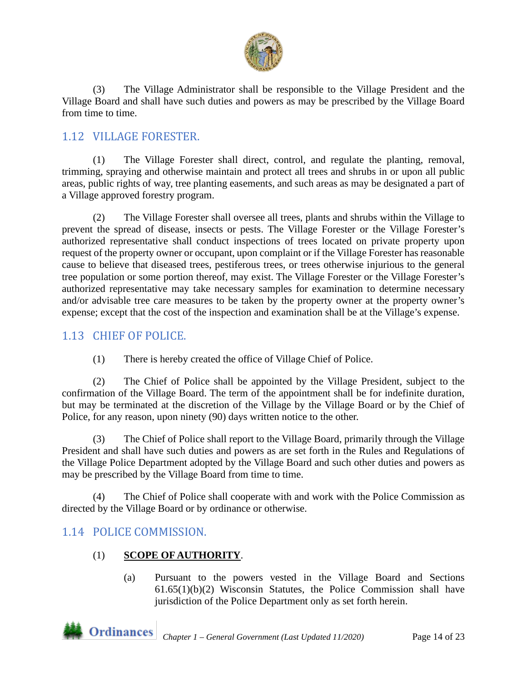

(3) The Village Administrator shall be responsible to the Village President and the Village Board and shall have such duties and powers as may be prescribed by the Village Board from time to time.

# <span id="page-13-1"></span>1.12 VILLAGE FORESTER.

(1) The Village Forester shall direct, control, and regulate the planting, removal, trimming, spraying and otherwise maintain and protect all trees and shrubs in or upon all public areas, public rights of way, tree planting easements, and such areas as may be designated a part of a Village approved forestry program.

(2) The Village Forester shall oversee all trees, plants and shrubs within the Village to prevent the spread of disease, insects or pests. The Village Forester or the Village Forester's authorized representative shall conduct inspections of trees located on private property upon request of the property owner or occupant, upon complaint or if the Village Forester has reasonable cause to believe that diseased trees, pestiferous trees, or trees otherwise injurious to the general tree population or some portion thereof, may exist. The Village Forester or the Village Forester's authorized representative may take necessary samples for examination to determine necessary and/or advisable tree care measures to be taken by the property owner at the property owner's expense; except that the cost of the inspection and examination shall be at the Village's expense.

# 1.13 CHIEF OF POLICE.

(1) There is hereby created the office of Village Chief of Police.

(2) The Chief of Police shall be appointed by the Village President, subject to the confirmation of the Village Board. The term of the appointment shall be for indefinite duration, but may be terminated at the discretion of the Village by the Village Board or by the Chief of Police, for any reason, upon ninety (90) days written notice to the other.

(3) The Chief of Police shall report to the Village Board, primarily through the Village President and shall have such duties and powers as are set forth in the Rules and Regulations of the Village Police Department adopted by the Village Board and such other duties and powers as may be prescribed by the Village Board from time to time.

(4) The Chief of Police shall cooperate with and work with the Police Commission as directed by the Village Board or by ordinance or otherwise.

# <span id="page-13-0"></span>1.14 POLICE COMMISSION.

## (1) **SCOPE OF AUTHORITY**.

(a) Pursuant to the powers vested in the Village Board and Sections 61.65(1)(b)(2) Wisconsin Statutes, the Police Commission shall have jurisdiction of the Police Department only as set forth herein.

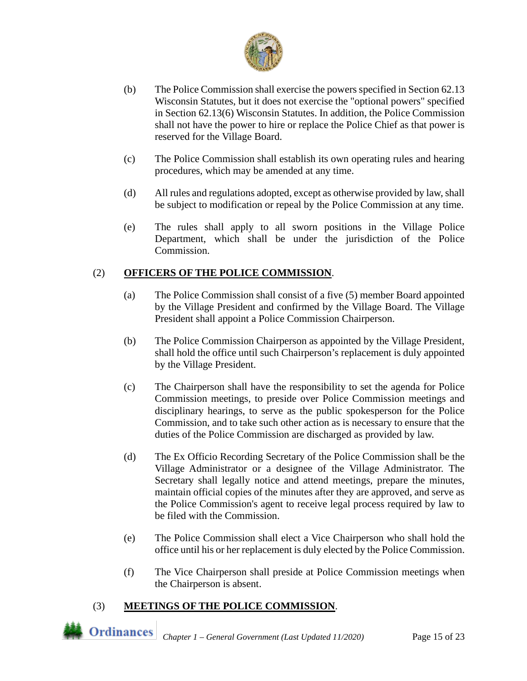

- (b) The Police Commission shall exercise the powers specified in Section 62.13 Wisconsin Statutes, but it does not exercise the "optional powers" specified in Section 62.13(6) Wisconsin Statutes. In addition, the Police Commission shall not have the power to hire or replace the Police Chief as that power is reserved for the Village Board.
- (c) The Police Commission shall establish its own operating rules and hearing procedures, which may be amended at any time.
- (d) All rules and regulations adopted, except as otherwise provided by law, shall be subject to modification or repeal by the Police Commission at any time.
- (e) The rules shall apply to all sworn positions in the Village Police Department, which shall be under the jurisdiction of the Police Commission.

## (2) **OFFICERS OF THE POLICE COMMISSION**.

- (a) The Police Commission shall consist of a five (5) member Board appointed by the Village President and confirmed by the Village Board. The Village President shall appoint a Police Commission Chairperson.
- (b) The Police Commission Chairperson as appointed by the Village President, shall hold the office until such Chairperson's replacement is duly appointed by the Village President.
- (c) The Chairperson shall have the responsibility to set the agenda for Police Commission meetings, to preside over Police Commission meetings and disciplinary hearings, to serve as the public spokesperson for the Police Commission, and to take such other action as is necessary to ensure that the duties of the Police Commission are discharged as provided by law.
- (d) The Ex Officio Recording Secretary of the Police Commission shall be the Village Administrator or a designee of the Village Administrator. The Secretary shall legally notice and attend meetings, prepare the minutes, maintain official copies of the minutes after they are approved, and serve as the Police Commission's agent to receive legal process required by law to be filed with the Commission.
- (e) The Police Commission shall elect a Vice Chairperson who shall hold the office until his or her replacement is duly elected by the Police Commission.
- (f) The Vice Chairperson shall preside at Police Commission meetings when the Chairperson is absent.

### (3) **MEETINGS OF THE POLICE COMMISSION**.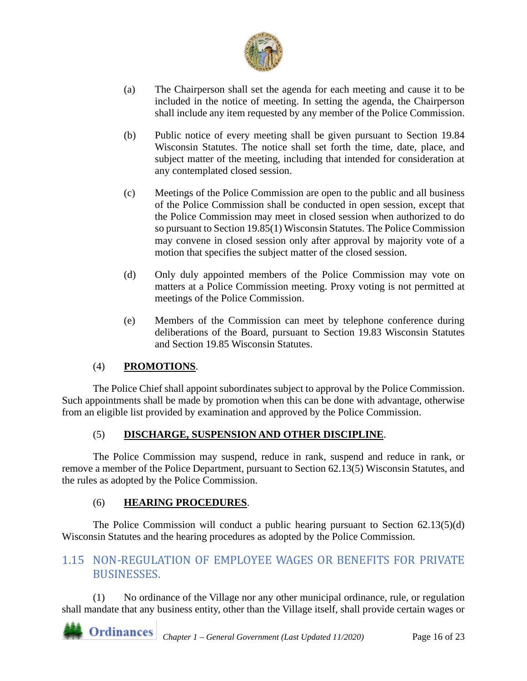

- (a) The Chairperson shall set the agenda for each meeting and cause it to be included in the notice of meeting. In setting the agenda, the Chairperson shall include any item requested by any member of the Police Commission.
- (b) Public notice of every meeting shall be given pursuant to Section 19.84 Wisconsin Statutes. The notice shall set forth the time, date, place, and subject matter of the meeting, including that intended for consideration at any contemplated closed session.
- (c) Meetings of the Police Commission are open to the public and all business of the Police Commission shall be conducted in open session, except that the Police Commission may meet in closed session when authorized to do so pursuant to Section 19.85(1) Wisconsin Statutes. The Police Commission may convene in closed session only after approval by majority vote of a motion that specifies the subject matter of the closed session.
- (d) Only duly appointed members of the Police Commission may vote on matters at a Police Commission meeting. Proxy voting is not permitted at meetings of the Police Commission.
- (e) Members of the Commission can meet by telephone conference during deliberations of the Board, pursuant to Section 19.83 Wisconsin Statutes and Section 19.85 Wisconsin Statutes.

## (4) **PROMOTIONS**.

The Police Chief shall appoint subordinates subject to approval by the Police Commission. Such appointments shall be made by promotion when this can be done with advantage, otherwise from an eligible list provided by examination and approved by the Police Commission.

### (5) **DISCHARGE, SUSPENSION AND OTHER DISCIPLINE**.

The Police Commission may suspend, reduce in rank, suspend and reduce in rank, or remove a member of the Police Department, pursuant to Section 62.13(5) Wisconsin Statutes, and the rules as adopted by the Police Commission.

### (6) **HEARING PROCEDURES**.

The Police Commission will conduct a public hearing pursuant to Section 62.13(5)(d) Wisconsin Statutes and the hearing procedures as adopted by the Police Commission.

# <span id="page-15-0"></span>1.15 NON-REGULATION OF EMPLOYEE WAGES OR BENEFITS FOR PRIVATE BUSINESSES.

(1) No ordinance of the Village nor any other municipal ordinance, rule, or regulation shall mandate that any business entity, other than the Village itself, shall provide certain wages or

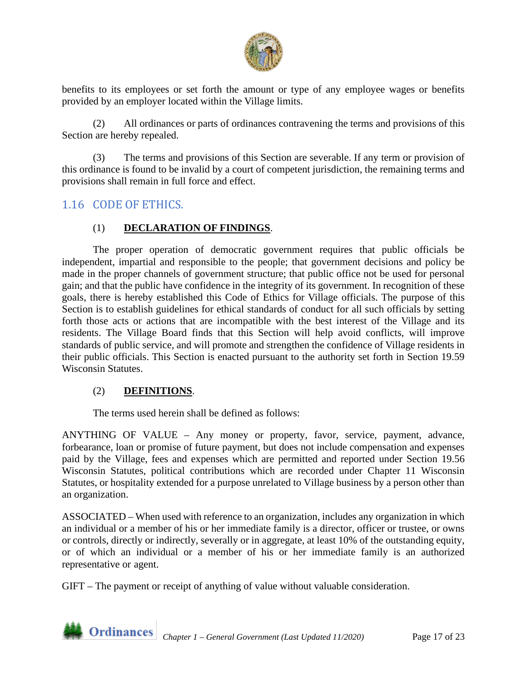

benefits to its employees or set forth the amount or type of any employee wages or benefits provided by an employer located within the Village limits.

(2) All ordinances or parts of ordinances contravening the terms and provisions of this Section are hereby repealed.

(3) The terms and provisions of this Section are severable. If any term or provision of this ordinance is found to be invalid by a court of competent jurisdiction, the remaining terms and provisions shall remain in full force and effect.

# <span id="page-16-0"></span>1.16 CODE OF ETHICS.

### (1) **DECLARATION OF FINDINGS**.

The proper operation of democratic government requires that public officials be independent, impartial and responsible to the people; that government decisions and policy be made in the proper channels of government structure; that public office not be used for personal gain; and that the public have confidence in the integrity of its government. In recognition of these goals, there is hereby established this Code of Ethics for Village officials. The purpose of this Section is to establish guidelines for ethical standards of conduct for all such officials by setting forth those acts or actions that are incompatible with the best interest of the Village and its residents. The Village Board finds that this Section will help avoid conflicts, will improve standards of public service, and will promote and strengthen the confidence of Village residents in their public officials. This Section is enacted pursuant to the authority set forth in Section 19.59 Wisconsin Statutes.

#### (2) **DEFINITIONS**.

The terms used herein shall be defined as follows:

ANYTHING OF VALUE – Any money or property, favor, service, payment, advance, forbearance, loan or promise of future payment, but does not include compensation and expenses paid by the Village, fees and expenses which are permitted and reported under Section 19.56 Wisconsin Statutes, political contributions which are recorded under Chapter 11 Wisconsin Statutes, or hospitality extended for a purpose unrelated to Village business by a person other than an organization.

ASSOCIATED – When used with reference to an organization, includes any organization in which an individual or a member of his or her immediate family is a director, officer or trustee, or owns or controls, directly or indirectly, severally or in aggregate, at least 10% of the outstanding equity, or of which an individual or a member of his or her immediate family is an authorized representative or agent.

GIFT – The payment or receipt of anything of value without valuable consideration.

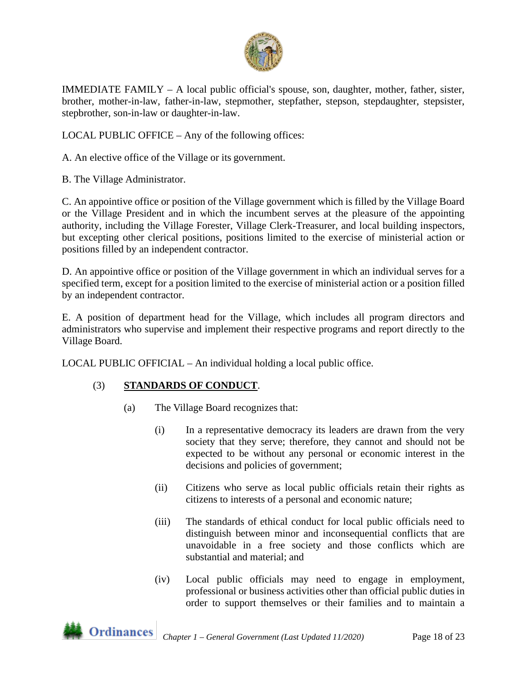

IMMEDIATE FAMILY – A local public official's spouse, son, daughter, mother, father, sister, brother, mother-in-law, father-in-law, stepmother, stepfather, stepson, stepdaughter, stepsister, stepbrother, son-in-law or daughter-in-law.

LOCAL PUBLIC OFFICE – Any of the following offices:

A. An elective office of the Village or its government.

B. The Village Administrator.

C. An appointive office or position of the Village government which is filled by the Village Board or the Village President and in which the incumbent serves at the pleasure of the appointing authority, including the Village Forester, Village Clerk-Treasurer, and local building inspectors, but excepting other clerical positions, positions limited to the exercise of ministerial action or positions filled by an independent contractor.

D. An appointive office or position of the Village government in which an individual serves for a specified term, except for a position limited to the exercise of ministerial action or a position filled by an independent contractor.

E. A position of department head for the Village, which includes all program directors and administrators who supervise and implement their respective programs and report directly to the Village Board.

LOCAL PUBLIC OFFICIAL – An individual holding a local public office.

## (3) **STANDARDS OF CONDUCT**.

- (a) The Village Board recognizes that:
	- (i) In a representative democracy its leaders are drawn from the very society that they serve; therefore, they cannot and should not be expected to be without any personal or economic interest in the decisions and policies of government;
	- (ii) Citizens who serve as local public officials retain their rights as citizens to interests of a personal and economic nature;
	- (iii) The standards of ethical conduct for local public officials need to distinguish between minor and inconsequential conflicts that are unavoidable in a free society and those conflicts which are substantial and material; and
	- (iv) Local public officials may need to engage in employment, professional or business activities other than official public duties in order to support themselves or their families and to maintain a

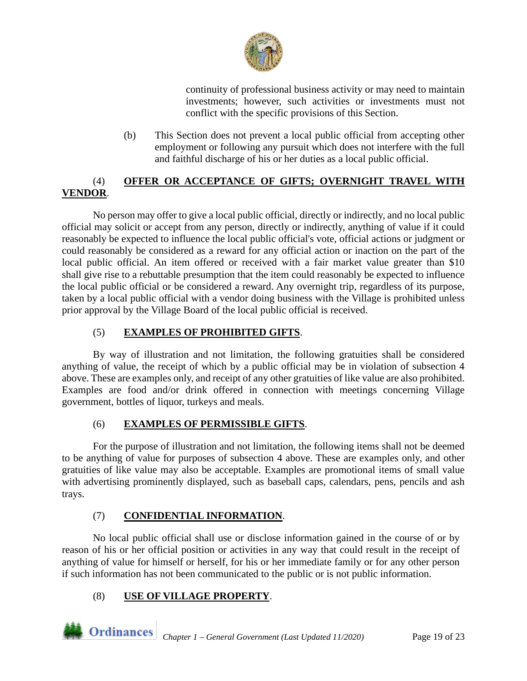

continuity of professional business activity or may need to maintain investments; however, such activities or investments must not conflict with the specific provisions of this Section.

(b) This Section does not prevent a local public official from accepting other employment or following any pursuit which does not interfere with the full and faithful discharge of his or her duties as a local public official.

## (4) **OFFER OR ACCEPTANCE OF GIFTS; OVERNIGHT TRAVEL WITH VENDOR**.

No person may offer to give a local public official, directly or indirectly, and no local public official may solicit or accept from any person, directly or indirectly, anything of value if it could reasonably be expected to influence the local public official's vote, official actions or judgment or could reasonably be considered as a reward for any official action or inaction on the part of the local public official. An item offered or received with a fair market value greater than \$10 shall give rise to a rebuttable presumption that the item could reasonably be expected to influence the local public official or be considered a reward. Any overnight trip, regardless of its purpose, taken by a local public official with a vendor doing business with the Village is prohibited unless prior approval by the Village Board of the local public official is received.

# (5) **EXAMPLES OF PROHIBITED GIFTS**.

By way of illustration and not limitation, the following gratuities shall be considered anything of value, the receipt of which by a public official may be in violation of subsection 4 above. These are examples only, and receipt of any other gratuities of like value are also prohibited. Examples are food and/or drink offered in connection with meetings concerning Village government, bottles of liquor, turkeys and meals.

## (6) **EXAMPLES OF PERMISSIBLE GIFTS**.

For the purpose of illustration and not limitation, the following items shall not be deemed to be anything of value for purposes of subsection 4 above. These are examples only, and other gratuities of like value may also be acceptable. Examples are promotional items of small value with advertising prominently displayed, such as baseball caps, calendars, pens, pencils and ash trays.

## (7) **CONFIDENTIAL INFORMATION**.

No local public official shall use or disclose information gained in the course of or by reason of his or her official position or activities in any way that could result in the receipt of anything of value for himself or herself, for his or her immediate family or for any other person if such information has not been communicated to the public or is not public information.

## (8) **USE OF VILLAGE PROPERTY**.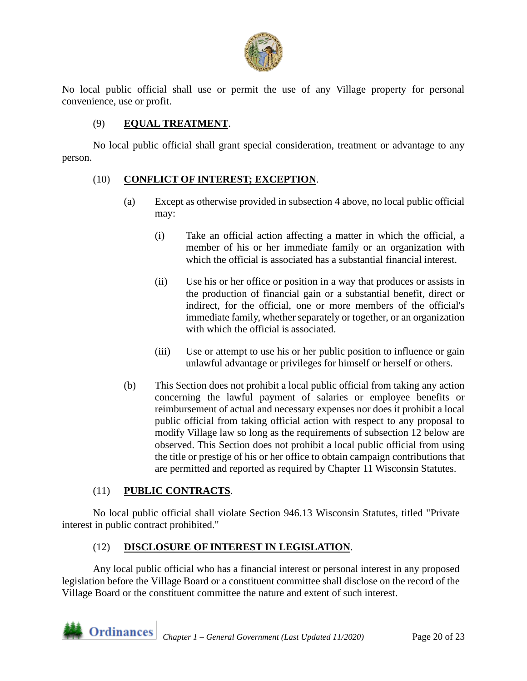

No local public official shall use or permit the use of any Village property for personal convenience, use or profit.

## (9) **EQUAL TREATMENT**.

No local public official shall grant special consideration, treatment or advantage to any person.

### (10) **CONFLICT OF INTEREST; EXCEPTION**.

- (a) Except as otherwise provided in subsection 4 above, no local public official may:
	- (i) Take an official action affecting a matter in which the official, a member of his or her immediate family or an organization with which the official is associated has a substantial financial interest.
	- (ii) Use his or her office or position in a way that produces or assists in the production of financial gain or a substantial benefit, direct or indirect, for the official, one or more members of the official's immediate family, whether separately or together, or an organization with which the official is associated.
	- (iii) Use or attempt to use his or her public position to influence or gain unlawful advantage or privileges for himself or herself or others.
- (b) This Section does not prohibit a local public official from taking any action concerning the lawful payment of salaries or employee benefits or reimbursement of actual and necessary expenses nor does it prohibit a local public official from taking official action with respect to any proposal to modify Village law so long as the requirements of subsection 12 below are observed. This Section does not prohibit a local public official from using the title or prestige of his or her office to obtain campaign contributions that are permitted and reported as required by Chapter 11 Wisconsin Statutes.

#### (11) **PUBLIC CONTRACTS**.

No local public official shall violate Section 946.13 Wisconsin Statutes, titled "Private interest in public contract prohibited."

### (12) **DISCLOSURE OF INTEREST IN LEGISLATION**.

Any local public official who has a financial interest or personal interest in any proposed legislation before the Village Board or a constituent committee shall disclose on the record of the Village Board or the constituent committee the nature and extent of such interest.

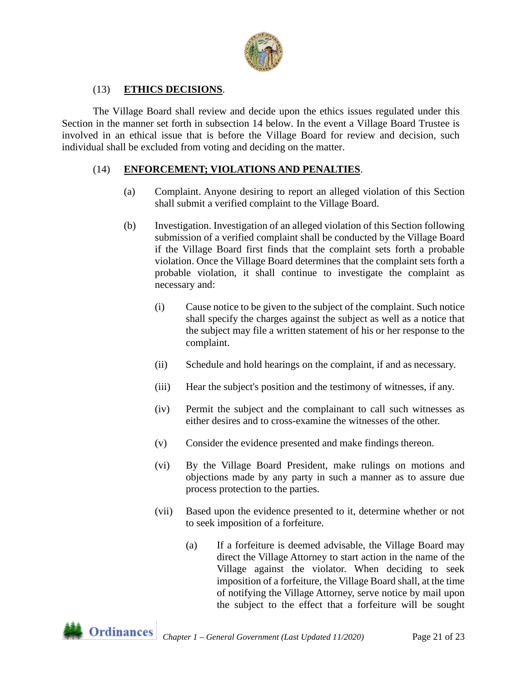

## (13) **ETHICS DECISIONS**.

The Village Board shall review and decide upon the ethics issues regulated under this Section in the manner set forth in subsection 14 below. In the event a Village Board Trustee is involved in an ethical issue that is before the Village Board for review and decision, such individual shall be excluded from voting and deciding on the matter.

### (14) **ENFORCEMENT; VIOLATIONS AND PENALTIES**.

- (a) Complaint. Anyone desiring to report an alleged violation of this Section shall submit a verified complaint to the Village Board.
- (b) Investigation. Investigation of an alleged violation of this Section following submission of a verified complaint shall be conducted by the Village Board if the Village Board first finds that the complaint sets forth a probable violation. Once the Village Board determines that the complaint sets forth a probable violation, it shall continue to investigate the complaint as necessary and:
	- (i) Cause notice to be given to the subject of the complaint. Such notice shall specify the charges against the subject as well as a notice that the subject may file a written statement of his or her response to the complaint.
	- (ii) Schedule and hold hearings on the complaint, if and as necessary.
	- (iii) Hear the subject's position and the testimony of witnesses, if any.
	- (iv) Permit the subject and the complainant to call such witnesses as either desires and to cross-examine the witnesses of the other.
	- (v) Consider the evidence presented and make findings thereon.
	- (vi) By the Village Board President, make rulings on motions and objections made by any party in such a manner as to assure due process protection to the parties.
	- (vii) Based upon the evidence presented to it, determine whether or not to seek imposition of a forfeiture.
		- (a) If a forfeiture is deemed advisable, the Village Board may direct the Village Attorney to start action in the name of the Village against the violator. When deciding to seek imposition of a forfeiture, the Village Board shall, at the time of notifying the Village Attorney, serve notice by mail upon the subject to the effect that a forfeiture will be sought

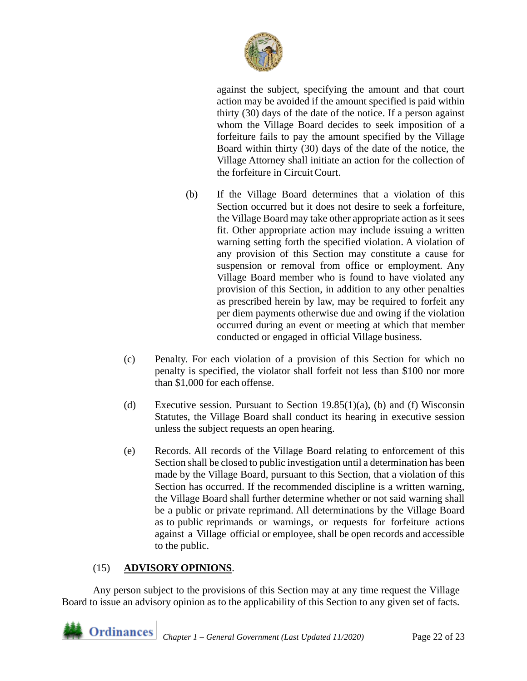

against the subject, specifying the amount and that court action may be avoided if the amount specified is paid within thirty (30) days of the date of the notice. If a person against whom the Village Board decides to seek imposition of a forfeiture fails to pay the amount specified by the Village Board within thirty (30) days of the date of the notice, the Village Attorney shall initiate an action for the collection of the forfeiture in Circuit Court.

- (b) If the Village Board determines that a violation of this Section occurred but it does not desire to seek a forfeiture, the Village Board may take other appropriate action as it sees fit. Other appropriate action may include issuing a written warning setting forth the specified violation. A violation of any provision of this Section may constitute a cause for suspension or removal from office or employment. Any Village Board member who is found to have violated any provision of this Section, in addition to any other penalties as prescribed herein by law, may be required to forfeit any per diem payments otherwise due and owing if the violation occurred during an event or meeting at which that member conducted or engaged in official Village business.
- (c) Penalty. For each violation of a provision of this Section for which no penalty is specified, the violator shall forfeit not less than \$100 nor more than \$1,000 for each offense.
- (d) Executive session. Pursuant to Section  $19.85(1)(a)$ , (b) and (f) Wisconsin Statutes, the Village Board shall conduct its hearing in executive session unless the subject requests an open hearing.
- (e) Records. All records of the Village Board relating to enforcement of this Section shall be closed to public investigation until a determination has been made by the Village Board, pursuant to this Section, that a violation of this Section has occurred. If the recommended discipline is a written warning, the Village Board shall further determine whether or not said warning shall be a public or private reprimand. All determinations by the Village Board as to public reprimands or warnings, or requests for forfeiture actions against a Village official or employee, shall be open records and accessible to the public.

### (15) **ADVISORY OPINIONS**.

Any person subject to the provisions of this Section may at any time request the Village Board to issue an advisory opinion as to the applicability of this Section to any given set of facts.